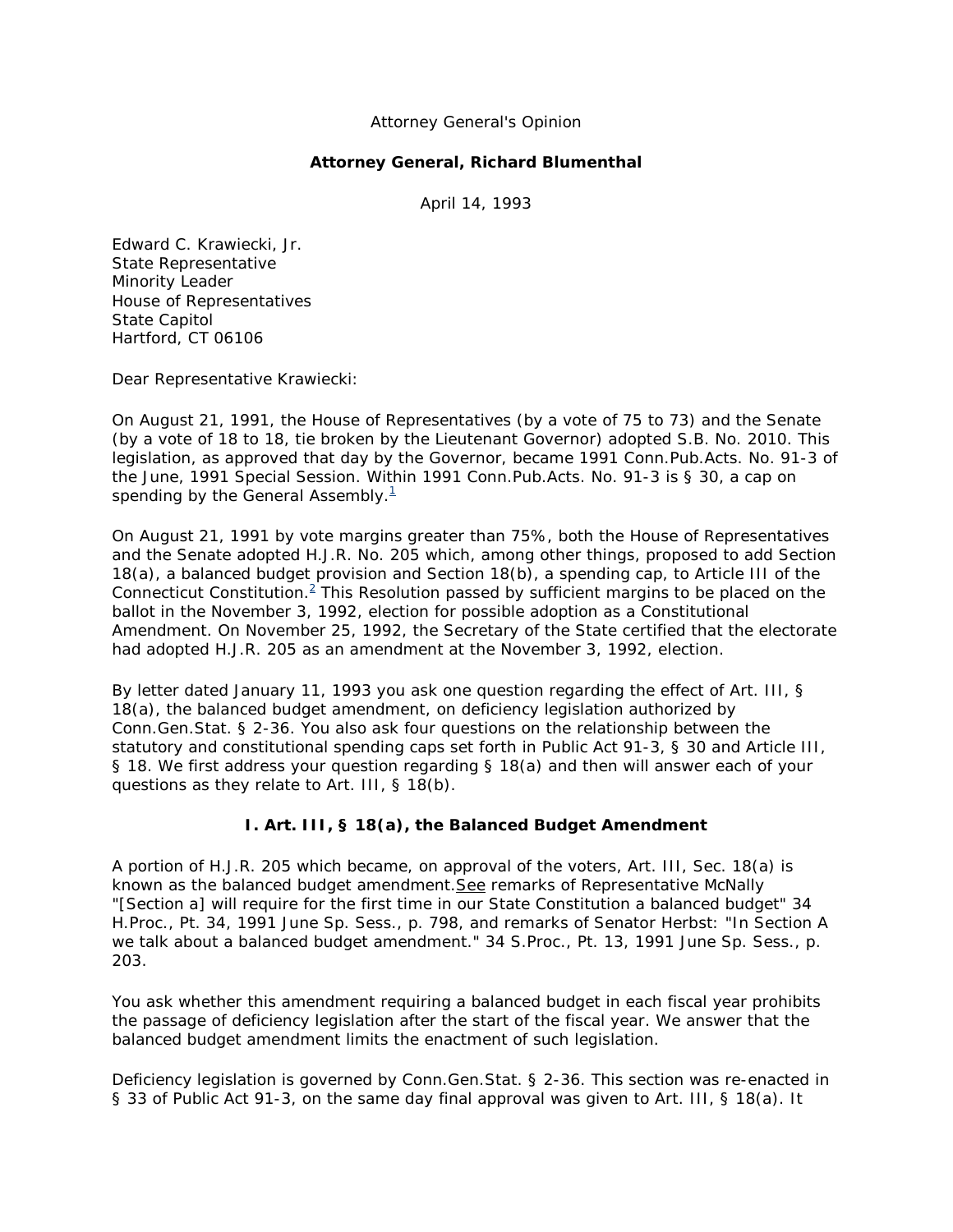## Attorney General's Opinion

## **Attorney General, Richard Blumenthal**

April 14, 1993

Edward C. Krawiecki, Jr. State Representative Minority Leader House of Representatives State Capitol Hartford, CT 06106

Dear Representative Krawiecki:

On August 21, 1991, the House of Representatives (by a vote of 75 to 73) and the Senate (by a vote of 18 to 18, tie broken by the Lieutenant Governor) adopted S.B. No. 2010. This legislation, as approved that day by the Governor, became 1991 Conn.Pub.Acts. No. 91-3 of the June, 1991 Special Session. Within 1991 Conn.Pub.Acts. No. 91-3 is § 30, a cap on spending by the General Assembly. $1$ 

On August 21, 1991 by vote margins greater than 75%, both the House of Representatives and the Senate adopted H.J.R. No. 205 which, among other things, proposed to add Section 18(a), a balanced budget provision and Section 18(b), a spending cap, to Article III of the Connecticut Constitution. $^2$  This Resolution passed by sufficient margins to be placed on the ballot in the November 3, 1992, election for possible adoption as a Constitutional Amendment. On November 25, 1992, the Secretary of the State certified that the electorate had adopted H.J.R. 205 as an amendment at the November 3, 1992, election.

By letter dated January 11, 1993 you ask one question regarding the effect of Art. III, § 18(a), the balanced budget amendment, on deficiency legislation authorized by Conn.Gen.Stat. § 2-36. You also ask four questions on the relationship between the statutory and constitutional spending caps set forth in Public Act 91-3, § 30 and Article III, § 18. We first address your question regarding § 18(a) and then will answer each of your questions as they relate to Art. III, § 18(b).

## **I. Art. III, § 18(a), the Balanced Budget Amendment**

A portion of H.J.R. 205 which became, on approval of the voters, Art. III, Sec. 18(a) is known as the balanced budget amendment. See remarks of Representative McNally "[Section a] will require for the first time in our State Constitution a balanced budget" 34 H.Proc., Pt. 34, 1991 June Sp. Sess., p. 798, and remarks of Senator Herbst: "In Section A we talk about a balanced budget amendment." 34 S.Proc., Pt. 13, 1991 June Sp. Sess., p. 203.

You ask whether this amendment requiring a balanced budget in each fiscal year prohibits the passage of deficiency legislation after the start of the fiscal year. We answer that the balanced budget amendment limits the enactment of such legislation.

Deficiency legislation is governed by Conn.Gen.Stat. § 2-36. This section was re-enacted in § 33 of Public Act 91-3, on the same day final approval was given to Art. III, § 18(a). It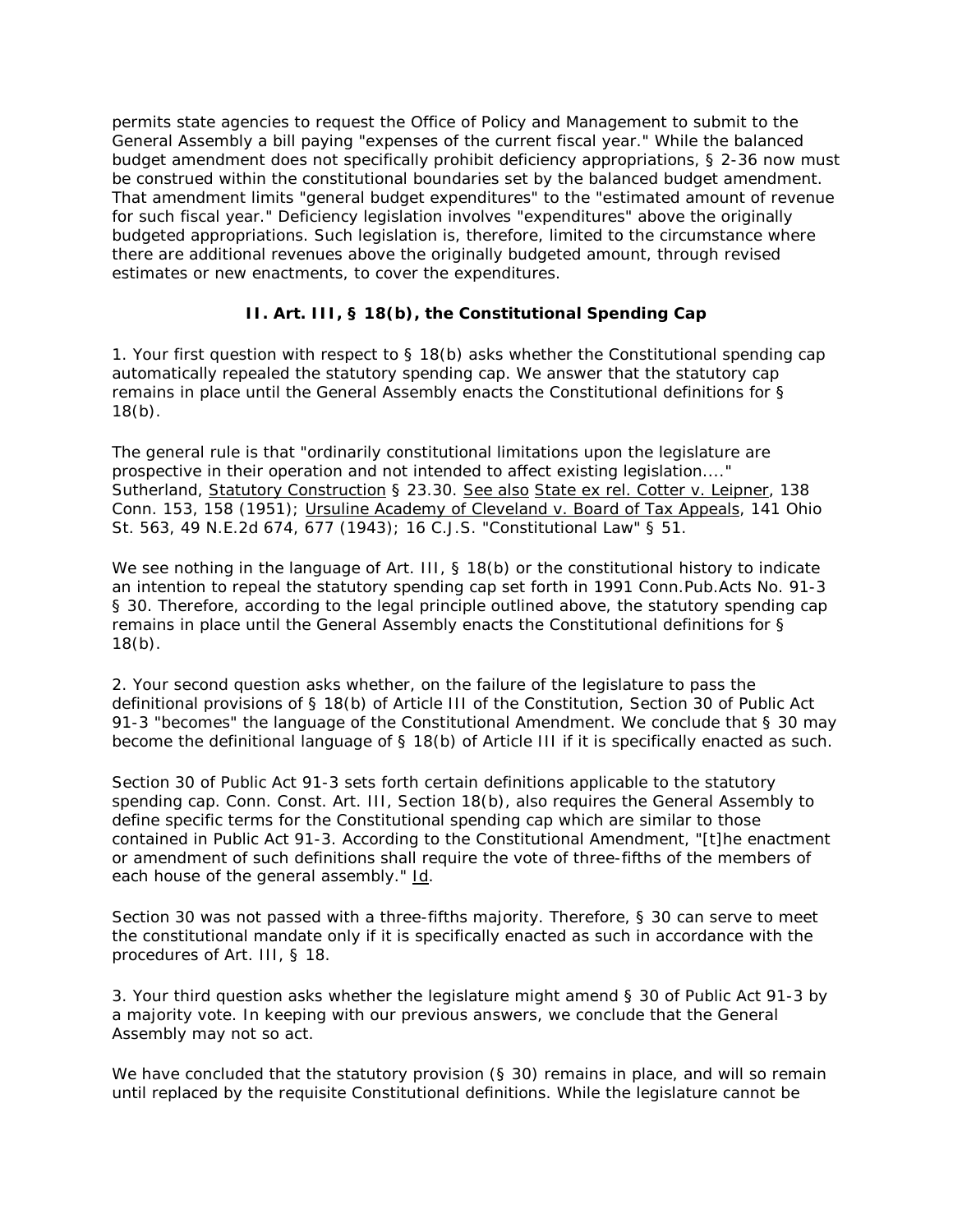permits state agencies to request the Office of Policy and Management to submit to the General Assembly a bill paying "expenses of the current fiscal year." While the balanced budget amendment does not specifically prohibit deficiency appropriations, § 2-36 now must be construed within the constitutional boundaries set by the balanced budget amendment. That amendment limits "general budget expenditures" to the "estimated amount of revenue for such fiscal year." Deficiency legislation involves "expenditures" above the originally budgeted appropriations. Such legislation is, therefore, limited to the circumstance where there are additional revenues above the originally budgeted amount, through revised estimates or new enactments, to cover the expenditures.

## **II. Art. III, § 18(b), the Constitutional Spending Cap**

1. Your first question with respect to  $\S$  18(b) asks whether the Constitutional spending cap automatically repealed the statutory spending cap. We answer that the statutory cap remains in place until the General Assembly enacts the Constitutional definitions for §  $18(b)$ .

The general rule is that "ordinarily constitutional limitations upon the legislature are prospective in their operation and not intended to affect existing legislation...." Sutherland, Statutory Construction § 23.30. See also State ex rel. Cotter v. Leipner, 138 Conn. 153, 158 (1951); Ursuline Academy of Cleveland v. Board of Tax Appeals, 141 Ohio St. 563, 49 N.E.2d 674, 677 (1943); 16 C.J.S. "Constitutional Law" § 51.

We see nothing in the language of Art. III, § 18(b) or the constitutional history to indicate an intention to repeal the statutory spending cap set forth in 1991 Conn.Pub.Acts No. 91-3 § 30. Therefore, according to the legal principle outlined above, the statutory spending cap remains in place until the General Assembly enacts the Constitutional definitions for §  $18(b)$ .

2. Your second question asks whether, on the failure of the legislature to pass the definitional provisions of § 18(b) of Article III of the Constitution, Section 30 of Public Act 91-3 "becomes" the language of the Constitutional Amendment. We conclude that § 30 may become the definitional language of § 18(b) of Article III if it is specifically enacted as such.

Section 30 of Public Act 91-3 sets forth certain definitions applicable to the statutory spending cap. Conn. Const. Art. III, Section 18(b), also requires the General Assembly to define specific terms for the Constitutional spending cap which are similar to those contained in Public Act 91-3. According to the Constitutional Amendment, "[t]he enactment or amendment of such definitions shall require the vote of three-fifths of the members of each house of the general assembly." Id.

Section 30 was not passed with a three-fifths majority. Therefore, § 30 can serve to meet the constitutional mandate only if it is specifically enacted as such in accordance with the procedures of Art. III, § 18.

3. Your third question asks whether the legislature might amend § 30 of Public Act 91-3 by a majority vote. In keeping with our previous answers, we conclude that the General Assembly may not so act.

We have concluded that the statutory provision (§ 30) remains in place, and will so remain until replaced by the requisite Constitutional definitions. While the legislature cannot be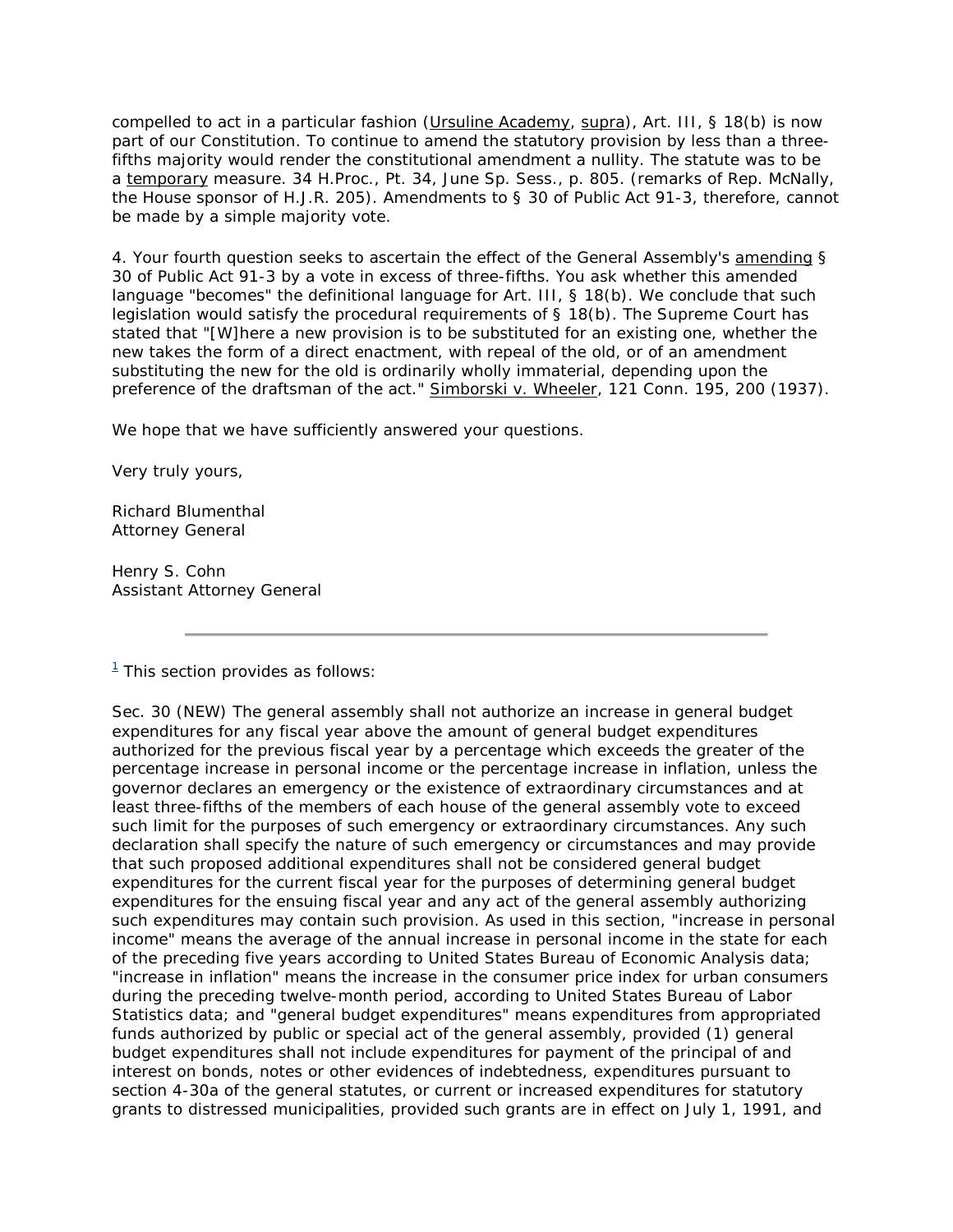compelled to act in a particular fashion (Ursuline Academy, supra), Art. III, § 18(b) is now part of our Constitution. To continue to amend the statutory provision by less than a threefifths majority would render the constitutional amendment a nullity. The statute was to be a temporary measure. 34 H.Proc., Pt. 34, June Sp. Sess., p. 805. (remarks of Rep. McNally, the House sponsor of H.J.R. 205). Amendments to § 30 of Public Act 91-3, therefore, cannot be made by a simple majority vote.

4. Your fourth question seeks to ascertain the effect of the General Assembly's amending § 30 of Public Act 91-3 by a vote in excess of three-fifths. You ask whether this amended language "becomes" the definitional language for Art. III, § 18(b). We conclude that such legislation would satisfy the procedural requirements of § 18(b). The Supreme Court has stated that "[W]here a new provision is to be substituted for an existing one, whether the new takes the form of a direct enactment, with repeal of the old, or of an amendment substituting the new for the old is ordinarily wholly immaterial, depending upon the preference of the draftsman of the act." Simborski v. Wheeler, 121 Conn. 195, 200 (1937).

We hope that we have sufficiently answered your questions.

Very truly yours,

Richard Blumenthal Attorney General

Henry S. Cohn Assistant Attorney General

 $1$ <sup>1</sup> This section provides as follows:

Sec. 30 (NEW) The general assembly shall not authorize an increase in general budget expenditures for any fiscal year above the amount of general budget expenditures authorized for the previous fiscal year by a percentage which exceeds the greater of the percentage increase in personal income or the percentage increase in inflation, unless the governor declares an emergency or the existence of extraordinary circumstances and at least three-fifths of the members of each house of the general assembly vote to exceed such limit for the purposes of such emergency or extraordinary circumstances. Any such declaration shall specify the nature of such emergency or circumstances and may provide that such proposed additional expenditures shall not be considered general budget expenditures for the current fiscal year for the purposes of determining general budget expenditures for the ensuing fiscal year and any act of the general assembly authorizing such expenditures may contain such provision. As used in this section, "increase in personal income" means the average of the annual increase in personal income in the state for each of the preceding five years according to United States Bureau of Economic Analysis data; "increase in inflation" means the increase in the consumer price index for urban consumers during the preceding twelve-month period, according to United States Bureau of Labor Statistics data; and "general budget expenditures" means expenditures from appropriated funds authorized by public or special act of the general assembly, provided (1) general budget expenditures shall not include expenditures for payment of the principal of and interest on bonds, notes or other evidences of indebtedness, expenditures pursuant to section 4-30a of the general statutes, or current or increased expenditures for statutory grants to distressed municipalities, provided such grants are in effect on July 1, 1991, and